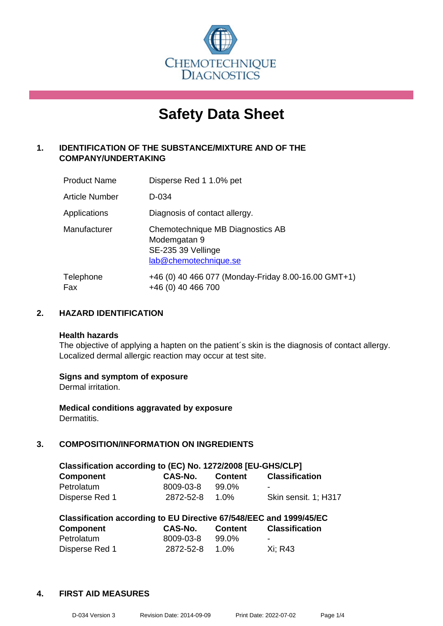

# **Safety Data Sheet**

## **1. IDENTIFICATION OF THE SUBSTANCE/MIXTURE AND OF THE COMPANY/UNDERTAKING**

| <b>Product Name</b> | Disperse Red 1 1.0% pet                                                                         |
|---------------------|-------------------------------------------------------------------------------------------------|
| Article Number      | D-034                                                                                           |
| Applications        | Diagnosis of contact allergy.                                                                   |
| Manufacturer        | Chemotechnique MB Diagnostics AB<br>Modemgatan 9<br>SE-235 39 Vellinge<br>lab@chemotechnique.se |
| Telephone<br>Fax    | +46 (0) 40 466 077 (Monday-Friday 8.00-16.00 GMT+1)<br>+46 (0) 40 466 700                       |

## **2. HAZARD IDENTIFICATION**

#### **Health hazards**

The objective of applying a hapten on the patient's skin is the diagnosis of contact allergy. Localized dermal allergic reaction may occur at test site.

## **Signs and symptom of exposure**

Dermal irritation.

**Medical conditions aggravated by exposure** Dermatitis.

## **3. COMPOSITION/INFORMATION ON INGREDIENTS**

| Classification according to (EC) No. 1272/2008 [EU-GHS/CLP] |                |                |                       |  |
|-------------------------------------------------------------|----------------|----------------|-----------------------|--|
| <b>Component</b>                                            | <b>CAS-No.</b> | <b>Content</b> | <b>Classification</b> |  |
| Petrolatum                                                  | 8009-03-8      | 99.0%          | -                     |  |
| Disperse Red 1                                              | 2872-52-8      | 1.0%           | Skin sensit. 1: H317  |  |

| Classification according to EU Directive 67/548/EEC and 1999/45/EC |           |                |                       |  |
|--------------------------------------------------------------------|-----------|----------------|-----------------------|--|
| <b>Component</b>                                                   | CAS-No.   | <b>Content</b> | <b>Classification</b> |  |
| Petrolatum                                                         | 8009-03-8 | 99.0%          |                       |  |
| Disperse Red 1                                                     | 2872-52-8 | 1.0%           | Xi: R43               |  |

#### **4. FIRST AID MEASURES**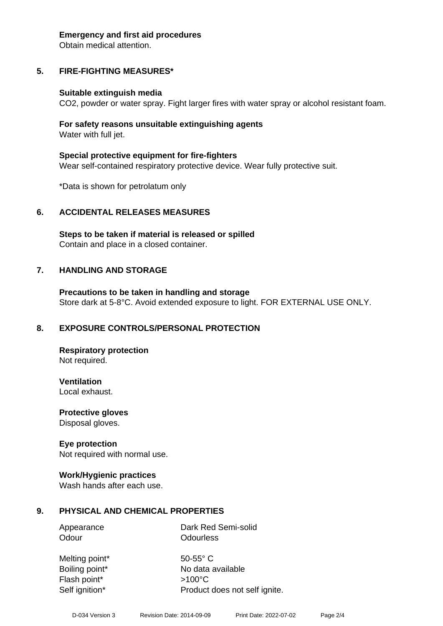#### **Emergency and first aid procedures**

Obtain medical attention.

## **5. FIRE-FIGHTING MEASURES\***

#### **Suitable extinguish media**

CO2, powder or water spray. Fight larger fires with water spray or alcohol resistant foam.

#### **For safety reasons unsuitable extinguishing agents** Water with full jet.

**Special protective equipment for fire-fighters** Wear self-contained respiratory protective device. Wear fully protective suit.

\*Data is shown for petrolatum only

## **6. ACCIDENTAL RELEASES MEASURES**

**Steps to be taken if material is released or spilled** Contain and place in a closed container.

## **7. HANDLING AND STORAGE**

**Precautions to be taken in handling and storage** Store dark at 5-8°C. Avoid extended exposure to light. FOR EXTERNAL USE ONLY.

## **8. EXPOSURE CONTROLS/PERSONAL PROTECTION**

**Respiratory protection** Not required.

**Ventilation** Local exhaust.

**Protective gloves** Disposal gloves.

## **Eye protection**

Not required with normal use.

## **Work/Hygienic practices**

Wash hands after each use.

## **9. PHYSICAL AND CHEMICAL PROPERTIES**

Appearance Dark Red Semi-solid Odour **Odourless** 

Melting point\* 50-55° C Flash point\* >100°C Self ignition\* Product does not self ignite.

Boiling point\* No data available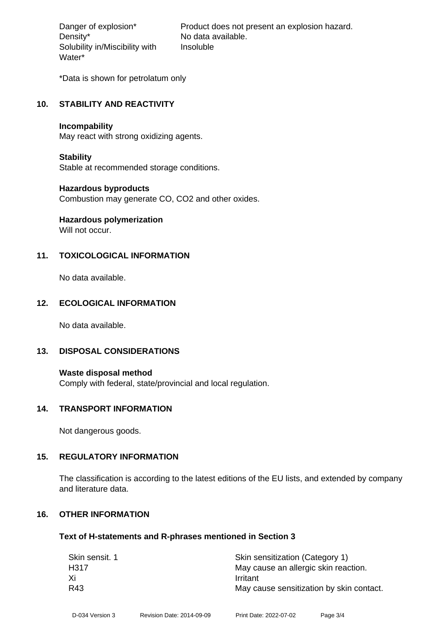Density\* No data available. Solubility in/Miscibility with Water\*

Danger of explosion\* Product does not present an explosion hazard. Insoluble

\*Data is shown for petrolatum only

#### **10. STABILITY AND REACTIVITY**

#### **Incompability**

May react with strong oxidizing agents.

#### **Stability**

Stable at recommended storage conditions.

#### **Hazardous byproducts**

Combustion may generate CO, CO2 and other oxides.

## **Hazardous polymerization**

Will not occur.

## **11. TOXICOLOGICAL INFORMATION**

No data available.

## **12. ECOLOGICAL INFORMATION**

No data available.

## **13. DISPOSAL CONSIDERATIONS**

**Waste disposal method** Comply with federal, state/provincial and local regulation.

#### **14. TRANSPORT INFORMATION**

Not dangerous goods.

## **15. REGULATORY INFORMATION**

The classification is according to the latest editions of the EU lists, and extended by company and literature data.

## **16. OTHER INFORMATION**

#### **Text of H-statements and R-phrases mentioned in Section 3**

| Skin sensit. 1 | Skin sensitization (Category 1)          |
|----------------|------------------------------------------|
| H317           | May cause an allergic skin reaction.     |
| Xi             | Irritant                                 |
| R43            | May cause sensitization by skin contact. |
|                |                                          |